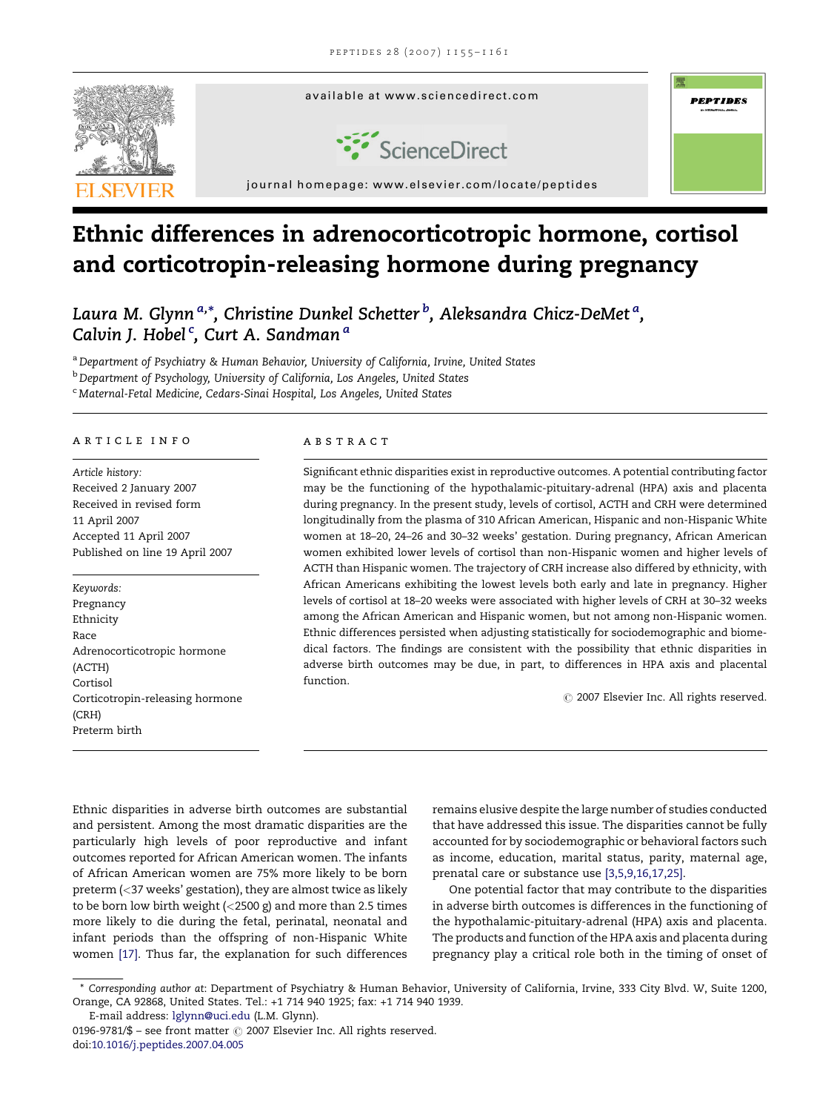

# Ethnic differences in adrenocorticotropic hormone, cortisol and corticotropin-releasing hormone during pregnancy

Laura M. Glynn <sup>a,</sup>\*, Christine Dunkel Schetter <sup>b</sup>, Aleksandra Chicz-DeMet <sup>a</sup>, Calvin J. Hobel <sup>c</sup>, Curt A. Sandman <sup>a</sup>

a Department of Psychiatry & Human Behavior, University of California, Irvine, United States **b** Department of Psychology, University of California, Los Angeles, United States <sup>c</sup> Maternal-Fetal Medicine, Cedars-Sinai Hospital, Los Angeles, United States

#### article info

Article history: Received 2 January 2007 Received in revised form 11 April 2007 Accepted 11 April 2007 Published on line 19 April 2007

Keywords: Pregnancy Ethnicity Race Adrenocorticotropic hormone (ACTH) Cortisol Corticotropin-releasing hormone (CRH) Preterm birth

#### **ABSTRACT**

Significant ethnic disparities exist in reproductive outcomes. A potential contributing factor may be the functioning of the hypothalamic-pituitary-adrenal (HPA) axis and placenta during pregnancy. In the present study, levels of cortisol, ACTH and CRH were determined longitudinally from the plasma of 310 African American, Hispanic and non-Hispanic White women at 18–20, 24–26 and 30–32 weeks' gestation. During pregnancy, African American women exhibited lower levels of cortisol than non-Hispanic women and higher levels of ACTH than Hispanic women. The trajectory of CRH increase also differed by ethnicity, with African Americans exhibiting the lowest levels both early and late in pregnancy. Higher levels of cortisol at 18–20 weeks were associated with higher levels of CRH at 30–32 weeks among the African American and Hispanic women, but not among non-Hispanic women. Ethnic differences persisted when adjusting statistically for sociodemographic and biomedical factors. The findings are consistent with the possibility that ethnic disparities in adverse birth outcomes may be due, in part, to differences in HPA axis and placental function.

 $\odot$  2007 Elsevier Inc. All rights reserved.

Ethnic disparities in adverse birth outcomes are substantial and persistent. Among the most dramatic disparities are the particularly high levels of poor reproductive and infant outcomes reported for African American women. The infants of African American women are 75% more likely to be born preterm (<37 weeks' gestation), they are almost twice as likely to be born low birth weight (<2500 g) and more than 2.5 times more likely to die during the fetal, perinatal, neonatal and infant periods than the offspring of non-Hispanic White women [\[17\].](#page-5-0) Thus far, the explanation for such differences

remains elusive despite the large number of studies conducted that have addressed this issue. The disparities cannot be fully accounted for by sociodemographic or behavioral factors such as income, education, marital status, parity, maternal age, prenatal care or substance use [\[3,5,9,16,17,25\].](#page-5-0)

One potential factor that may contribute to the disparities in adverse birth outcomes is differences in the functioning of the hypothalamic-pituitary-adrenal (HPA) axis and placenta. The products and function of the HPA axis and placenta during pregnancy play a critical role both in the timing of onset of

E-mail address: [lglynn@uci.edu](mailto:lglynn@uci.edu) (L.M. Glynn).

<sup>\*</sup> Corresponding author at: Department of Psychiatry & Human Behavior, University of California, Irvine, 333 City Blvd. W, Suite 1200, Orange, CA 92868, United States. Tel.: +1 714 940 1925; fax: +1 714 940 1939.

<sup>0196-9781/\$ –</sup> see front matter  $\odot$  2007 Elsevier Inc. All rights reserved. doi[:10.1016/j.peptides.2007.04.005](http://dx.doi.org/10.1016/j.peptides.2007.04.005)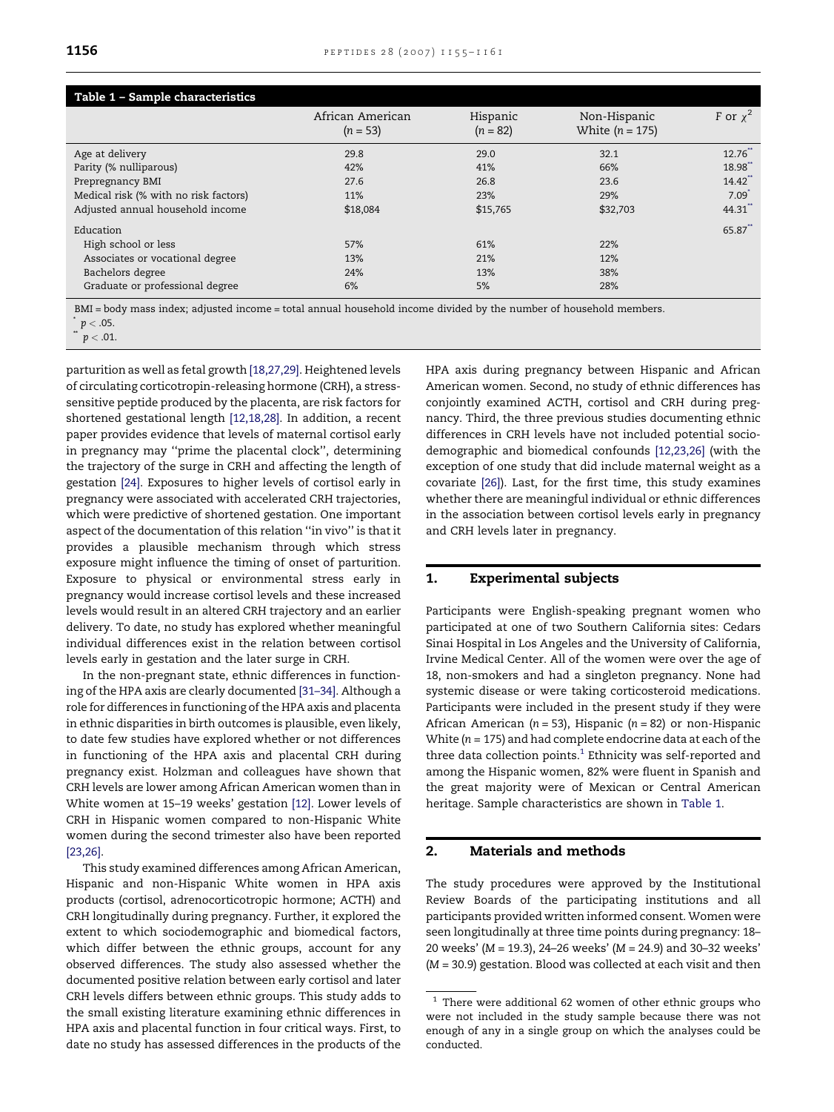<span id="page-1-0"></span>

| Table 1 - Sample characteristics      |                                |                        |                                   |                     |  |  |  |
|---------------------------------------|--------------------------------|------------------------|-----------------------------------|---------------------|--|--|--|
|                                       | African American<br>$(n = 53)$ | Hispanic<br>$(n = 82)$ | Non-Hispanic<br>White $(n = 175)$ | F or $x^2$          |  |  |  |
| Age at delivery                       | 29.8                           | 29.0                   | 32.1                              | $12.76$ **          |  |  |  |
| Parity (% nulliparous)                | 42%                            | 41%                    | 66%                               | 18.98               |  |  |  |
| Prepregnancy BMI                      | 27.6                           | 26.8                   | 23.6                              | 14.42               |  |  |  |
| Medical risk (% with no risk factors) | 11%                            | 23%                    | 29%                               | $7.09$ <sup>*</sup> |  |  |  |
| Adjusted annual household income      | \$18,084                       | \$15,765               | \$32,703                          | 44.31               |  |  |  |
| Education                             |                                |                        |                                   | 65.87               |  |  |  |
| High school or less                   | 57%                            | 61%                    | 22%                               |                     |  |  |  |
| Associates or vocational degree       | 13%                            | 21%                    | 12%                               |                     |  |  |  |
| Bachelors degree                      | 24%                            | 13%                    | 38%                               |                     |  |  |  |
| Graduate or professional degree       | 6%                             | 5%                     | 28%                               |                     |  |  |  |

BMI = body mass index; adjusted income = total annual household income divided by the number of household members.

 $p < .05$ .

 $p < .01$ .

parturition as well as fetal growth [\[18,27,29\].](#page-5-0) Heightened levels of circulating corticotropin-releasing hormone (CRH), a stresssensitive peptide produced by the placenta, are risk factors for shortened gestational length [\[12,18,28\].](#page-5-0) In addition, a recent paper provides evidence that levels of maternal cortisol early in pregnancy may ''prime the placental clock'', determining the trajectory of the surge in CRH and affecting the length of gestation [\[24\]](#page-6-0). Exposures to higher levels of cortisol early in pregnancy were associated with accelerated CRH trajectories, which were predictive of shortened gestation. One important aspect of the documentation of this relation ''in vivo'' is that it provides a plausible mechanism through which stress exposure might influence the timing of onset of parturition. Exposure to physical or environmental stress early in pregnancy would increase cortisol levels and these increased levels would result in an altered CRH trajectory and an earlier delivery. To date, no study has explored whether meaningful individual differences exist in the relation between cortisol levels early in gestation and the later surge in CRH.

In the non-pregnant state, ethnic differences in functioning of the HPA axis are clearly documented [\[31–34\].](#page-6-0) Although a role for differences in functioning of the HPA axis and placenta in ethnic disparities in birth outcomes is plausible, even likely, to date few studies have explored whether or not differences in functioning of the HPA axis and placental CRH during pregnancy exist. Holzman and colleagues have shown that CRH levels are lower among African American women than in White women at 15–19 weeks' gestation [\[12\]](#page-5-0). Lower levels of CRH in Hispanic women compared to non-Hispanic White women during the second trimester also have been reported [\[23,26\].](#page-6-0)

This study examined differences among African American, Hispanic and non-Hispanic White women in HPA axis products (cortisol, adrenocorticotropic hormone; ACTH) and CRH longitudinally during pregnancy. Further, it explored the extent to which sociodemographic and biomedical factors, which differ between the ethnic groups, account for any observed differences. The study also assessed whether the documented positive relation between early cortisol and later CRH levels differs between ethnic groups. This study adds to the small existing literature examining ethnic differences in HPA axis and placental function in four critical ways. First, to date no study has assessed differences in the products of the HPA axis during pregnancy between Hispanic and African American women. Second, no study of ethnic differences has conjointly examined ACTH, cortisol and CRH during pregnancy. Third, the three previous studies documenting ethnic differences in CRH levels have not included potential sociodemographic and biomedical confounds [\[12,23,26\]](#page-5-0) (with the exception of one study that did include maternal weight as a covariate [\[26\]\)](#page-6-0). Last, for the first time, this study examines whether there are meaningful individual or ethnic differences in the association between cortisol levels early in pregnancy and CRH levels later in pregnancy.

# 1. Experimental subjects

Participants were English-speaking pregnant women who participated at one of two Southern California sites: Cedars Sinai Hospital in Los Angeles and the University of California, Irvine Medical Center. All of the women were over the age of 18, non-smokers and had a singleton pregnancy. None had systemic disease or were taking corticosteroid medications. Participants were included in the present study if they were African American ( $n = 53$ ), Hispanic ( $n = 82$ ) or non-Hispanic White ( $n = 175$ ) and had complete endocrine data at each of the three data collection points. $1$  Ethnicity was self-reported and among the Hispanic women, 82% were fluent in Spanish and the great majority were of Mexican or Central American heritage. Sample characteristics are shown in Table 1.

# 2. Materials and methods

The study procedures were approved by the Institutional Review Boards of the participating institutions and all participants provided written informed consent. Women were seen longitudinally at three time points during pregnancy: 18– 20 weeks' (M = 19.3), 24–26 weeks' (M = 24.9) and 30–32 weeks' (M = 30.9) gestation. Blood was collected at each visit and then

 $^{\rm 1}$  There were additional 62 women of other ethnic groups who were not included in the study sample because there was not enough of any in a single group on which the analyses could be conducted.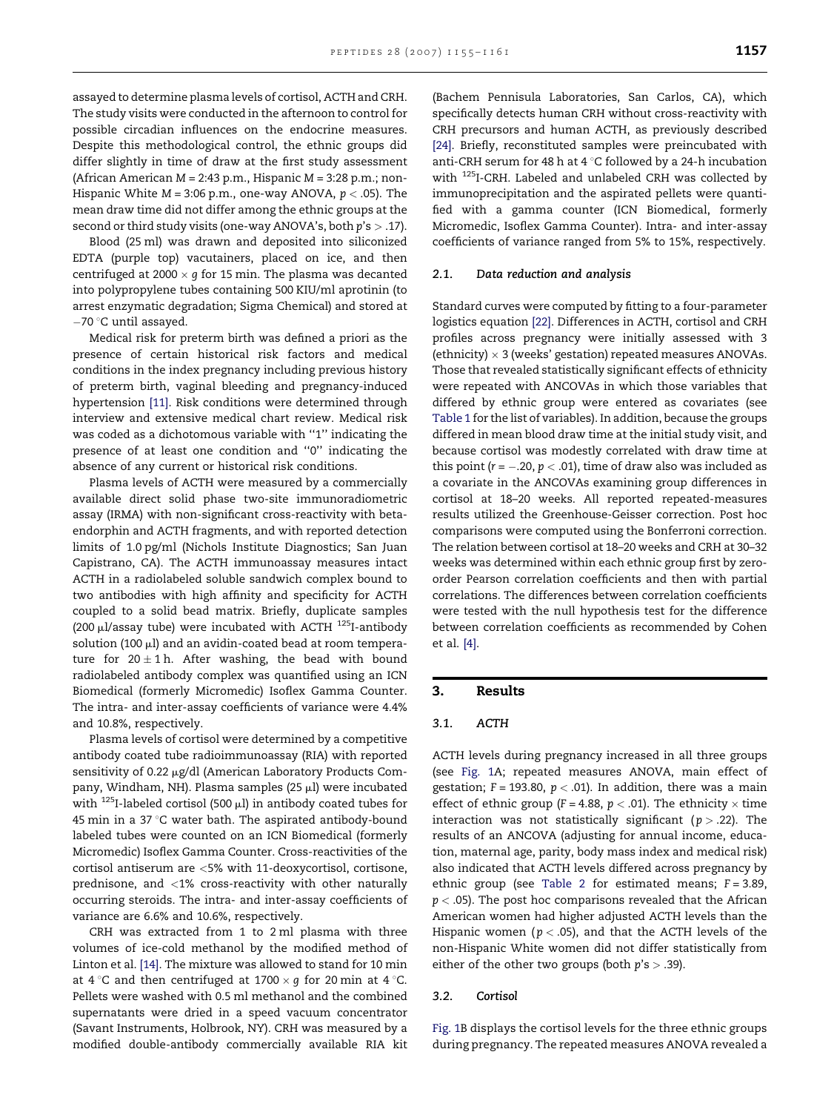assayed to determine plasma levels of cortisol, ACTH and CRH. The study visits were conducted in the afternoon to control for possible circadian influences on the endocrine measures. Despite this methodological control, the ethnic groups did differ slightly in time of draw at the first study assessment (African American  $M = 2:43$  p.m., Hispanic  $M = 3:28$  p.m.; non-Hispanic White  $M = 3:06$  p.m., one-way ANOVA,  $p < .05$ ). The mean draw time did not differ among the ethnic groups at the second or third study visits (one-way ANOVA's, both  $p's > .17$ ).

Blood (25 ml) was drawn and deposited into siliconized EDTA (purple top) vacutainers, placed on ice, and then centrifuged at 2000  $\times$   $g$  for 15 min. The plasma was decanted into polypropylene tubes containing 500 KIU/ml aprotinin (to arrest enzymatic degradation; Sigma Chemical) and stored at  $-70$  °C until assayed.

Medical risk for preterm birth was defined a priori as the presence of certain historical risk factors and medical conditions in the index pregnancy including previous history of preterm birth, vaginal bleeding and pregnancy-induced hypertension [\[11\]](#page-5-0). Risk conditions were determined through interview and extensive medical chart review. Medical risk was coded as a dichotomous variable with ''1'' indicating the presence of at least one condition and ''0'' indicating the absence of any current or historical risk conditions.

Plasma levels of ACTH were measured by a commercially available direct solid phase two-site immunoradiometric assay (IRMA) with non-significant cross-reactivity with betaendorphin and ACTH fragments, and with reported detection limits of 1.0 pg/ml (Nichols Institute Diagnostics; San Juan Capistrano, CA). The ACTH immunoassay measures intact ACTH in a radiolabeled soluble sandwich complex bound to two antibodies with high affinity and specificity for ACTH coupled to a solid bead matrix. Briefly, duplicate samples (200  $\mu$ l/assay tube) were incubated with ACTH  $^{125}$ I-antibody solution (100  $\mu$ l) and an avidin-coated bead at room temperature for  $20 \pm 1$  h. After washing, the bead with bound radiolabeled antibody complex was quantified using an ICN Biomedical (formerly Micromedic) Isoflex Gamma Counter. The intra- and inter-assay coefficients of variance were 4.4% and 10.8%, respectively.

Plasma levels of cortisol were determined by a competitive antibody coated tube radioimmunoassay (RIA) with reported sensitivity of 0.22  $\mu$ g/dl (American Laboratory Products Company, Windham, NH). Plasma samples (25  $\mu$ l) were incubated with  $^{125}$ I-labeled cortisol (500  $\mu$ l) in antibody coated tubes for 45 min in a 37 $\degree$ C water bath. The aspirated antibody-bound labeled tubes were counted on an ICN Biomedical (formerly Micromedic) Isoflex Gamma Counter. Cross-reactivities of the cortisol antiserum are <5% with 11-deoxycortisol, cortisone, prednisone, and <1% cross-reactivity with other naturally occurring steroids. The intra- and inter-assay coefficients of variance are 6.6% and 10.6%, respectively.

CRH was extracted from 1 to 2 ml plasma with three volumes of ice-cold methanol by the modified method of Linton et al. [\[14\].](#page-5-0) The mixture was allowed to stand for 10 min at 4 °C and then centrifuged at 1700  $\times$   $g$  for 20 min at 4 °C. Pellets were washed with 0.5 ml methanol and the combined supernatants were dried in a speed vacuum concentrator (Savant Instruments, Holbrook, NY). CRH was measured by a modified double-antibody commercially available RIA kit

(Bachem Pennisula Laboratories, San Carlos, CA), which specifically detects human CRH without cross-reactivity with CRH precursors and human ACTH, as previously described [\[24\].](#page-6-0) Briefly, reconstituted samples were preincubated with anti-CRH serum for 48 h at 4  $\degree$ C followed by a 24-h incubation with <sup>125</sup>I-CRH. Labeled and unlabeled CRH was collected by immunoprecipitation and the aspirated pellets were quantified with a gamma counter (ICN Biomedical, formerly Micromedic, Isoflex Gamma Counter). Intra- and inter-assay coefficients of variance ranged from 5% to 15%, respectively.

## 2.1. Data reduction and analysis

Standard curves were computed by fitting to a four-parameter logistics equation [\[22\].](#page-6-0) Differences in ACTH, cortisol and CRH profiles across pregnancy were initially assessed with 3 (ethnicity)  $\times$  3 (weeks' gestation) repeated measures ANOVAs. Those that revealed statistically significant effects of ethnicity were repeated with ANCOVAs in which those variables that differed by ethnic group were entered as covariates (see [Table 1](#page-1-0) for the list of variables). In addition, because the groups differed in mean blood draw time at the initial study visit, and because cortisol was modestly correlated with draw time at this point ( $r = -.20$ ,  $p < .01$ ), time of draw also was included as a covariate in the ANCOVAs examining group differences in cortisol at 18–20 weeks. All reported repeated-measures results utilized the Greenhouse-Geisser correction. Post hoc comparisons were computed using the Bonferroni correction. The relation between cortisol at 18–20 weeks and CRH at 30–32 weeks was determined within each ethnic group first by zeroorder Pearson correlation coefficients and then with partial correlations. The differences between correlation coefficients were tested with the null hypothesis test for the difference between correlation coefficients as recommended by Cohen et al. [\[4\]](#page-5-0).

#### 3. Results

## 3.1. ACTH

ACTH levels during pregnancy increased in all three groups (see [Fig. 1](#page-3-0)A; repeated measures ANOVA, main effect of gestation;  $F = 193.80$ ,  $p < .01$ ). In addition, there was a main effect of ethnic group (F = 4.88,  $p < .01$ ). The ethnicity  $\times$  time interaction was not statistically significant ( $p > .22$ ). The results of an ANCOVA (adjusting for annual income, education, maternal age, parity, body mass index and medical risk) also indicated that ACTH levels differed across pregnancy by ethnic group (see [Table 2](#page-4-0) for estimated means;  $F = 3.89$ ,  $p <$  .05). The post hoc comparisons revealed that the African American women had higher adjusted ACTH levels than the Hispanic women ( $p < .05$ ), and that the ACTH levels of the non-Hispanic White women did not differ statistically from either of the other two groups (both  $p's > .39$ ).

#### 3.2. Cortisol

[Fig. 1B](#page-3-0) displays the cortisol levels for the three ethnic groups during pregnancy. The repeated measures ANOVA revealed a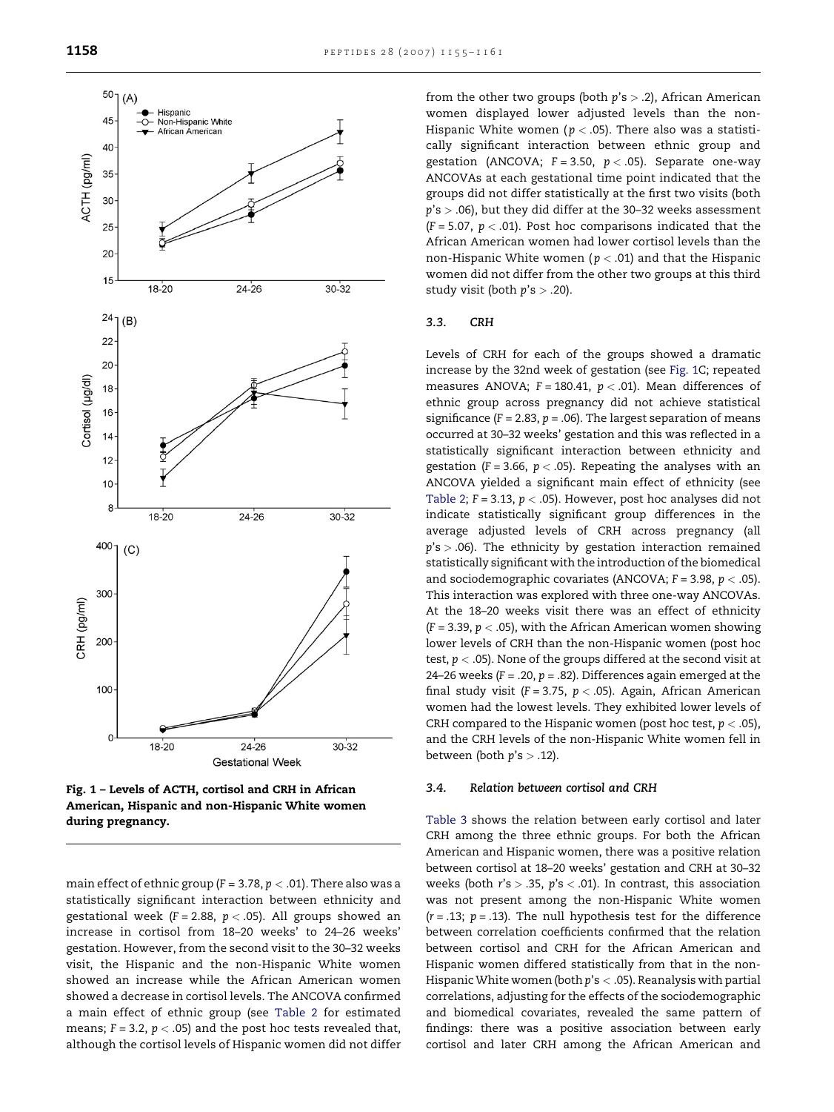<span id="page-3-0"></span>

Fig. 1 – Levels of ACTH, cortisol and CRH in African American, Hispanic and non-Hispanic White women during pregnancy.

main effect of ethnic group ( $F = 3.78$ ,  $p < .01$ ). There also was a statistically significant interaction between ethnicity and gestational week (F = 2.88,  $p < .05$ ). All groups showed an increase in cortisol from 18–20 weeks' to 24–26 weeks' gestation. However, from the second visit to the 30–32 weeks visit, the Hispanic and the non-Hispanic White women showed an increase while the African American women showed a decrease in cortisol levels. The ANCOVA confirmed a main effect of ethnic group (see [Table 2](#page-4-0) for estimated means;  $F = 3.2$ ,  $p < .05$ ) and the post hoc tests revealed that, although the cortisol levels of Hispanic women did not differ from the other two groups (both  $p's > .2$ ), African American women displayed lower adjusted levels than the non-Hispanic White women ( $p < .05$ ). There also was a statistically significant interaction between ethnic group and gestation (ANCOVA;  $F = 3.50$ ,  $p < .05$ ). Separate one-way ANCOVAs at each gestational time point indicated that the groups did not differ statistically at the first two visits (both  $p's > .06$ ), but they did differ at the 30-32 weeks assessment  $(F = 5.07, p < .01)$ . Post hoc comparisons indicated that the African American women had lower cortisol levels than the non-Hispanic White women ( $p < .01$ ) and that the Hispanic women did not differ from the other two groups at this third study visit (both  $p's > .20$ ).

## 3.3. CRH

Levels of CRH for each of the groups showed a dramatic increase by the 32nd week of gestation (see Fig. 1C; repeated measures ANOVA;  $F = 180.41$ ,  $p < .01$ ). Mean differences of ethnic group across pregnancy did not achieve statistical significance ( $F = 2.83$ ,  $p = .06$ ). The largest separation of means occurred at 30–32 weeks' gestation and this was reflected in a statistically significant interaction between ethnicity and gestation (F = 3.66,  $p < .05$ ). Repeating the analyses with an ANCOVA yielded a significant main effect of ethnicity (see [Table 2;](#page-4-0)  $F = 3.13$ ,  $p < .05$ ). However, post hoc analyses did not indicate statistically significant group differences in the average adjusted levels of CRH across pregnancy (all  $p's > .06$ ). The ethnicity by gestation interaction remained statistically significant with the introduction of the biomedical and sociodemographic covariates (ANCOVA;  $F = 3.98$ ,  $p < .05$ ). This interaction was explored with three one-way ANCOVAs. At the 18–20 weeks visit there was an effect of ethnicity  $(F = 3.39, p < .05)$ , with the African American women showing lower levels of CRH than the non-Hispanic women (post hoc test,  $p < .05$ ). None of the groups differed at the second visit at 24–26 weeks ( $F = .20$ ,  $p = .82$ ). Differences again emerged at the final study visit (F = 3.75,  $p < .05$ ). Again, African American women had the lowest levels. They exhibited lower levels of CRH compared to the Hispanic women (post hoc test,  $p < .05$ ), and the CRH levels of the non-Hispanic White women fell in between (both  $p's > .12$ ).

#### 3.4. Relation between cortisol and CRH

[Table 3](#page-4-0) shows the relation between early cortisol and later CRH among the three ethnic groups. For both the African American and Hispanic women, there was a positive relation between cortisol at 18–20 weeks' gestation and CRH at 30–32 weeks (both  $r's > .35$ ,  $p's < .01$ ). In contrast, this association was not present among the non-Hispanic White women  $(r = .13; p = .13)$ . The null hypothesis test for the difference between correlation coefficients confirmed that the relation between cortisol and CRH for the African American and Hispanic women differed statistically from that in the non-Hispanic White women (both  $p$ 's  $<$  .05). Reanalysis with partial correlations, adjusting for the effects of the sociodemographic and biomedical covariates, revealed the same pattern of findings: there was a positive association between early cortisol and later CRH among the African American and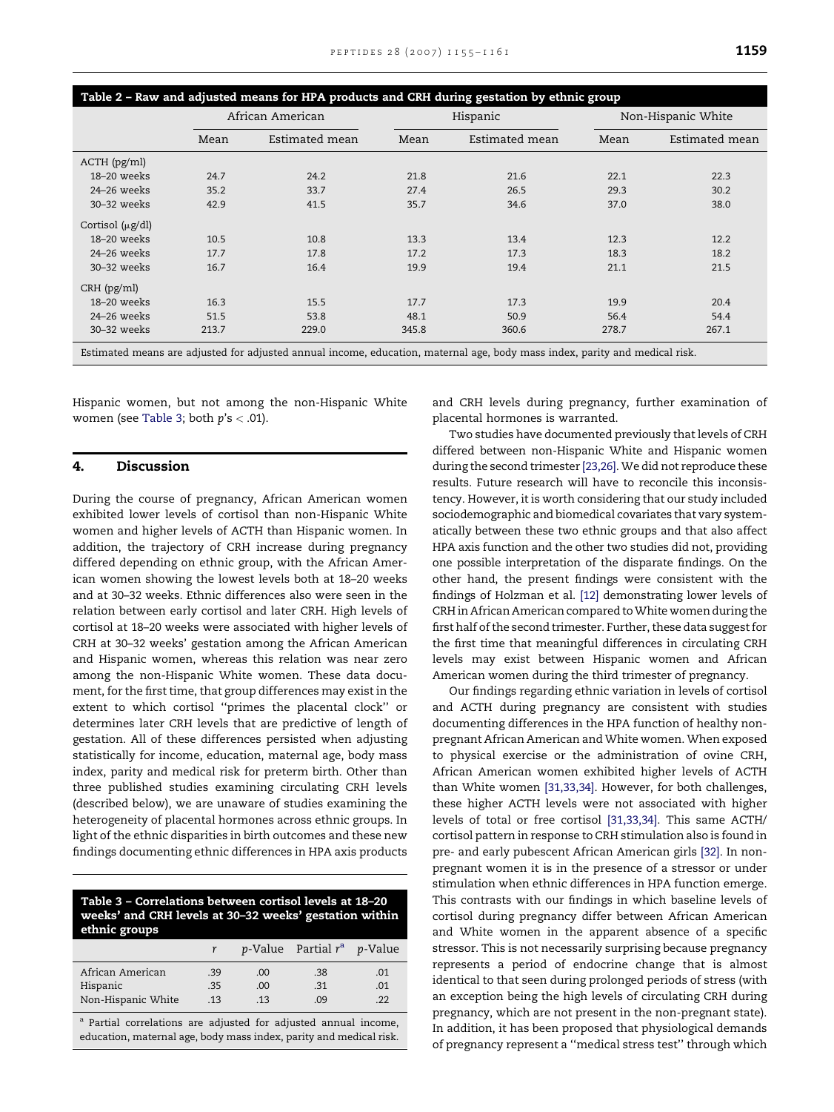<span id="page-4-0"></span>

| Table 2 - Raw and adjusted means for HPA products and CRH during gestation by ethnic group                                  |       |                  |       |                |       |                    |  |  |
|-----------------------------------------------------------------------------------------------------------------------------|-------|------------------|-------|----------------|-------|--------------------|--|--|
|                                                                                                                             |       | African American |       | Hispanic       |       | Non-Hispanic White |  |  |
|                                                                                                                             | Mean  | Estimated mean   | Mean  | Estimated mean | Mean  | Estimated mean     |  |  |
| $ACTH$ ( $pg/ml$ )                                                                                                          |       |                  |       |                |       |                    |  |  |
| 18-20 weeks                                                                                                                 | 24.7  | 24.2             | 21.8  | 21.6           | 22.1  | 22.3               |  |  |
| 24-26 weeks                                                                                                                 | 35.2  | 33.7             | 27.4  | 26.5           | 29.3  | 30.2               |  |  |
| $30-32$ weeks                                                                                                               | 42.9  | 41.5             | 35.7  | 34.6           | 37.0  | 38.0               |  |  |
| Cortisol $(\mu g/dl)$                                                                                                       |       |                  |       |                |       |                    |  |  |
| 18-20 weeks                                                                                                                 | 10.5  | 10.8             | 13.3  | 13.4           | 12.3  | 12.2               |  |  |
| $24 - 26$ weeks                                                                                                             | 17.7  | 17.8             | 17.2  | 17.3           | 18.3  | 18.2               |  |  |
| 30-32 weeks                                                                                                                 | 16.7  | 16.4             | 19.9  | 19.4           | 21.1  | 21.5               |  |  |
| $CRH$ ( $pg/ml$ )                                                                                                           |       |                  |       |                |       |                    |  |  |
| 18-20 weeks                                                                                                                 | 16.3  | 15.5             | 17.7  | 17.3           | 19.9  | 20.4               |  |  |
| $24-26$ weeks                                                                                                               | 51.5  | 53.8             | 48.1  | 50.9           | 56.4  | 54.4               |  |  |
| 30-32 weeks                                                                                                                 | 213.7 | 229.0            | 345.8 | 360.6          | 278.7 | 267.1              |  |  |
| Estimated means are adjusted for adjusted annual income, education, maternal age, body mass index, parity and medical risk. |       |                  |       |                |       |                    |  |  |

Hispanic women, but not among the non-Hispanic White women (see Table 3; both  $p's < .01$ ).

# 4. Discussion

During the course of pregnancy, African American women exhibited lower levels of cortisol than non-Hispanic White women and higher levels of ACTH than Hispanic women. In addition, the trajectory of CRH increase during pregnancy differed depending on ethnic group, with the African American women showing the lowest levels both at 18–20 weeks and at 30–32 weeks. Ethnic differences also were seen in the relation between early cortisol and later CRH. High levels of cortisol at 18–20 weeks were associated with higher levels of CRH at 30–32 weeks' gestation among the African American and Hispanic women, whereas this relation was near zero among the non-Hispanic White women. These data document, for the first time, that group differences may exist in the extent to which cortisol ''primes the placental clock'' or determines later CRH levels that are predictive of length of gestation. All of these differences persisted when adjusting statistically for income, education, maternal age, body mass index, parity and medical risk for preterm birth. Other than three published studies examining circulating CRH levels (described below), we are unaware of studies examining the heterogeneity of placental hormones across ethnic groups. In light of the ethnic disparities in birth outcomes and these new findings documenting ethnic differences in HPA axis products

# Table 3 – Correlations between cortisol levels at 18–20 weeks' and CRH levels at 30–32 weeks' gestation within ethnic groups

|                    |     |     | $p$ -Value Partial $r^a$ p-Value |     |
|--------------------|-----|-----|----------------------------------|-----|
| African American   | .39 | .00 | .38                              | .01 |
| Hispanic           | .35 | .00 | .31                              | .01 |
| Non-Hispanic White | .13 | .13 | .09                              | -22 |
|                    |     |     |                                  |     |

a Partial correlations are adjusted for adjusted annual income, education, maternal age, body mass index, parity and medical risk. and CRH levels during pregnancy, further examination of placental hormones is warranted.

Two studies have documented previously that levels of CRH differed between non-Hispanic White and Hispanic women during the second trimester [\[23,26\]](#page-6-0). We did not reproduce these results. Future research will have to reconcile this inconsistency. However, it is worth considering that our study included sociodemographic and biomedical covariates that vary systematically between these two ethnic groups and that also affect HPA axis function and the other two studies did not, providing one possible interpretation of the disparate findings. On the other hand, the present findings were consistent with the findings of Holzman et al. [\[12\]](#page-5-0) demonstrating lower levels of CRH in African American compared to White women during the first half of the second trimester. Further, these data suggest for the first time that meaningful differences in circulating CRH levels may exist between Hispanic women and African American women during the third trimester of pregnancy.

Our findings regarding ethnic variation in levels of cortisol and ACTH during pregnancy are consistent with studies documenting differences in the HPA function of healthy nonpregnant African American and White women. When exposed to physical exercise or the administration of ovine CRH, African American women exhibited higher levels of ACTH than White women [\[31,33,34\].](#page-6-0) However, for both challenges, these higher ACTH levels were not associated with higher levels of total or free cortisol [\[31,33,34\].](#page-6-0) This same ACTH/ cortisol pattern in response to CRH stimulation also is found in pre- and early pubescent African American girls [\[32\]](#page-6-0). In nonpregnant women it is in the presence of a stressor or under stimulation when ethnic differences in HPA function emerge. This contrasts with our findings in which baseline levels of cortisol during pregnancy differ between African American and White women in the apparent absence of a specific stressor. This is not necessarily surprising because pregnancy represents a period of endocrine change that is almost identical to that seen during prolonged periods of stress (with an exception being the high levels of circulating CRH during pregnancy, which are not present in the non-pregnant state). In addition, it has been proposed that physiological demands of pregnancy represent a ''medical stress test'' through which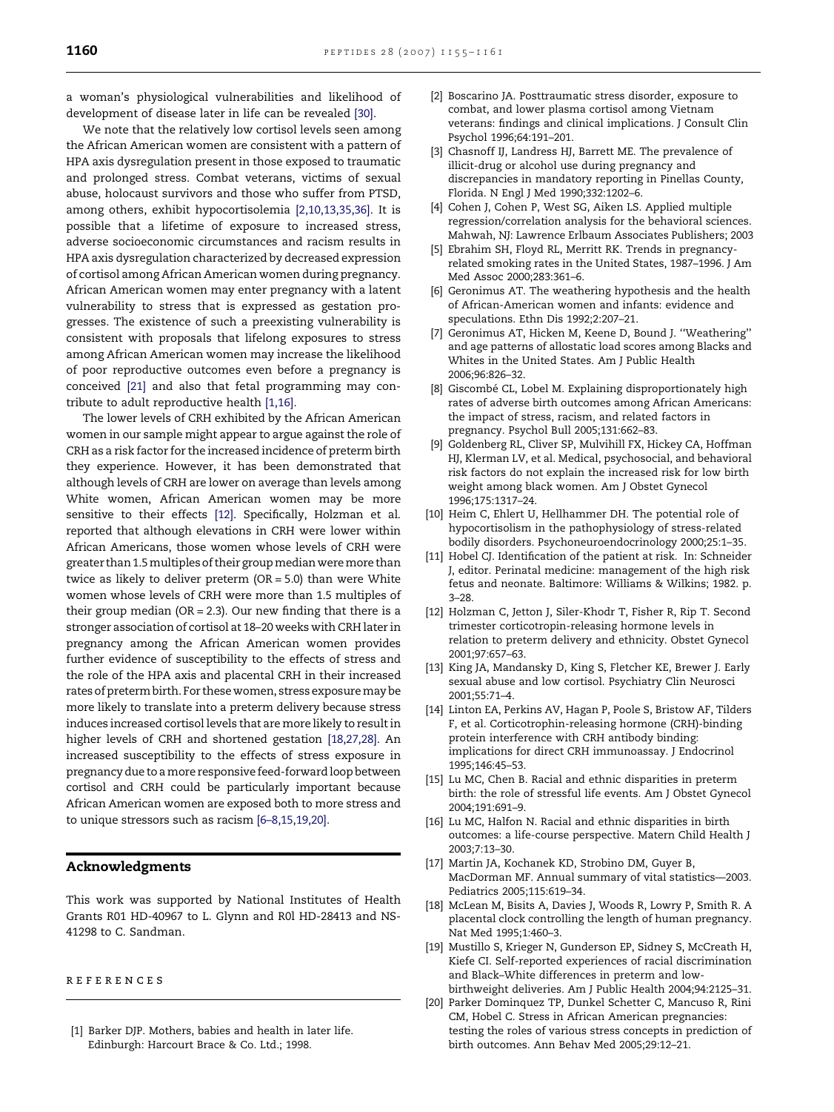<span id="page-5-0"></span>a woman's physiological vulnerabilities and likelihood of development of disease later in life can be revealed [\[30\].](#page-6-0)

We note that the relatively low cortisol levels seen among the African American women are consistent with a pattern of HPA axis dysregulation present in those exposed to traumatic and prolonged stress. Combat veterans, victims of sexual abuse, holocaust survivors and those who suffer from PTSD, among others, exhibit hypocortisolemia [2,10,13,35,36]. It is possible that a lifetime of exposure to increased stress, adverse socioeconomic circumstances and racism results in HPA axis dysregulation characterized by decreased expression of cortisol among African American women during pregnancy. African American women may enter pregnancy with a latent vulnerability to stress that is expressed as gestation progresses. The existence of such a preexisting vulnerability is consistent with proposals that lifelong exposures to stress among African American women may increase the likelihood of poor reproductive outcomes even before a pregnancy is conceived [\[21\]](#page-6-0) and also that fetal programming may contribute to adult reproductive health [1,16].

The lower levels of CRH exhibited by the African American women in our sample might appear to argue against the role of CRH as a risk factor for the increased incidence of preterm birth they experience. However, it has been demonstrated that although levels of CRH are lower on average than levels among White women, African American women may be more sensitive to their effects [12]. Specifically, Holzman et al. reported that although elevations in CRH were lower within African Americans, those women whose levels of CRH were greater than 1.5 multiples of their group median were more than twice as likely to deliver preterm (OR = 5.0) than were White women whose levels of CRH were more than 1.5 multiples of their group median (OR = 2.3). Our new finding that there is a stronger association of cortisol at 18–20 weeks with CRH later in pregnancy among the African American women provides further evidence of susceptibility to the effects of stress and the role of the HPA axis and placental CRH in their increased rates of preterm birth. For these women, stress exposure may be more likely to translate into a preterm delivery because stress induces increased cortisol levels that are more likely to result in higher levels of CRH and shortened gestation [18,27,28]. An increased susceptibility to the effects of stress exposure in pregnancy due to a more responsive feed-forward loop between cortisol and CRH could be particularly important because African American women are exposed both to more stress and to unique stressors such as racism [6–8,15,19,20].

# Acknowledgments

This work was supported by National Institutes of Health Grants R01 HD-40967 to L. Glynn and R0l HD-28413 and NS-41298 to C. Sandman.

#### references

[1] Barker DJP. Mothers, babies and health in later life. Edinburgh: Harcourt Brace & Co. Ltd.; 1998.

- [2] Boscarino JA. Posttraumatic stress disorder, exposure to combat, and lower plasma cortisol among Vietnam veterans: findings and clinical implications. J Consult Clin Psychol 1996;64:191–201.
- [3] Chasnoff IJ, Landress HJ, Barrett ME. The prevalence of illicit-drug or alcohol use during pregnancy and discrepancies in mandatory reporting in Pinellas County, Florida. N Engl J Med 1990;332:1202–6.
- [4] Cohen J, Cohen P, West SG, Aiken LS. Applied multiple regression/correlation analysis for the behavioral sciences. Mahwah, NJ: Lawrence Erlbaum Associates Publishers; 2003 .
- [5] Ebrahim SH, Floyd RL, Merritt RK. Trends in pregnancyrelated smoking rates in the United States, 1987–1996. J Am Med Assoc 2000;283:361–6.
- [6] Geronimus AT. The weathering hypothesis and the health of African-American women and infants: evidence and speculations. Ethn Dis 1992;2:207–21.
- [7] Geronimus AT, Hicken M, Keene D, Bound J. ''Weathering'' and age patterns of allostatic load scores among Blacks and Whites in the United States. Am J Public Health 2006;96:826–32.
- [8] Giscombé CL, Lobel M. Explaining disproportionately high rates of adverse birth outcomes among African Americans: the impact of stress, racism, and related factors in pregnancy. Psychol Bull 2005;131:662–83.
- [9] Goldenberg RL, Cliver SP, Mulvihill FX, Hickey CA, Hoffman HJ, Klerman LV, et al. Medical, psychosocial, and behavioral risk factors do not explain the increased risk for low birth weight among black women. Am J Obstet Gynecol 1996;175:1317–24.
- [10] Heim C, Ehlert U, Hellhammer DH. The potential role of hypocortisolism in the pathophysiology of stress-related bodily disorders. Psychoneuroendocrinology 2000;25:1–35.
- [11] Hobel CJ. Identification of the patient at risk. In: Schneider J, editor. Perinatal medicine: management of the high risk fetus and neonate. Baltimore: Williams & Wilkins; 1982. p. 3–28.
- [12] Holzman C, Jetton J, Siler-Khodr T, Fisher R, Rip T. Second trimester corticotropin-releasing hormone levels in relation to preterm delivery and ethnicity. Obstet Gynecol 2001;97:657–63.
- [13] King JA, Mandansky D, King S, Fletcher KE, Brewer J. Early sexual abuse and low cortisol. Psychiatry Clin Neurosci 2001;55:71–4.
- [14] Linton EA, Perkins AV, Hagan P, Poole S, Bristow AF, Tilders F, et al. Corticotrophin-releasing hormone (CRH)-binding protein interference with CRH antibody binding: implications for direct CRH immunoassay. J Endocrinol 1995;146:45–53.
- [15] Lu MC, Chen B. Racial and ethnic disparities in preterm birth: the role of stressful life events. Am J Obstet Gynecol 2004;191:691–9.
- [16] Lu MC, Halfon N. Racial and ethnic disparities in birth outcomes: a life-course perspective. Matern Child Health J 2003;7:13–30.
- [17] Martin JA, Kochanek KD, Strobino DM, Guyer B, MacDorman MF. Annual summary of vital statistics—2003. Pediatrics 2005;115:619–34.
- [18] McLean M, Bisits A, Davies J, Woods R, Lowry P, Smith R. A placental clock controlling the length of human pregnancy. Nat Med 1995;1:460–3.
- [19] Mustillo S, Krieger N, Gunderson EP, Sidney S, McCreath H, Kiefe CI. Self-reported experiences of racial discrimination and Black–White differences in preterm and lowbirthweight deliveries. Am J Public Health 2004;94:2125–31.
- [20] Parker Dominquez TP, Dunkel Schetter C, Mancuso R, Rini CM, Hobel C. Stress in African American pregnancies: testing the roles of various stress concepts in prediction of birth outcomes. Ann Behav Med 2005;29:12–21.